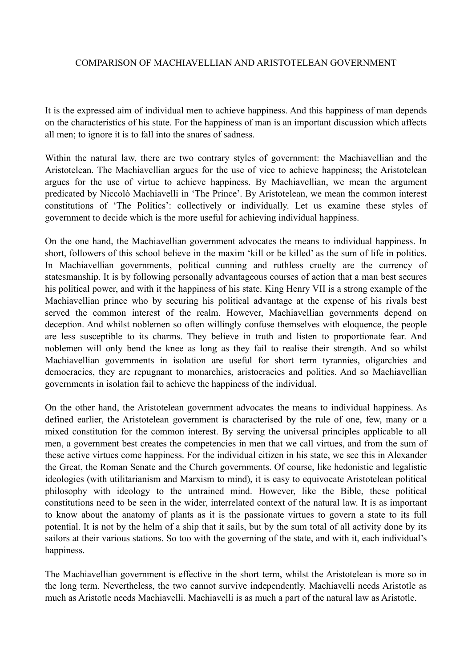## COMPARISON OF MACHIAVELLIAN AND ARISTOTELEAN GOVERNMENT

It is the expressed aim of individual men to achieve happiness. And this happiness of man depends on the characteristics of his state. For the happiness of man is an important discussion which affects all men; to ignore it is to fall into the snares of sadness.

Within the natural law, there are two contrary styles of government: the Machiavellian and the Aristotelean. The Machiavellian argues for the use of vice to achieve happiness; the Aristotelean argues for the use of virtue to achieve happiness. By Machiavellian, we mean the argument predicated by Niccolò Machiavelli in 'The Prince'. By Aristotelean, we mean the common interest constitutions of 'The Politics': collectively or individually. Let us examine these styles of government to decide which is the more useful for achieving individual happiness.

On the one hand, the Machiavellian government advocates the means to individual happiness. In short, followers of this school believe in the maxim 'kill or be killed' as the sum of life in politics. In Machiavellian governments, political cunning and ruthless cruelty are the currency of statesmanship. It is by following personally advantageous courses of action that a man best secures his political power, and with it the happiness of his state. King Henry VII is a strong example of the Machiavellian prince who by securing his political advantage at the expense of his rivals best served the common interest of the realm. However, Machiavellian governments depend on deception. And whilst noblemen so often willingly confuse themselves with eloquence, the people are less susceptible to its charms. They believe in truth and listen to proportionate fear. And noblemen will only bend the knee as long as they fail to realise their strength. And so whilst Machiavellian governments in isolation are useful for short term tyrannies, oligarchies and democracies, they are repugnant to monarchies, aristocracies and polities. And so Machiavellian governments in isolation fail to achieve the happiness of the individual.

On the other hand, the Aristotelean government advocates the means to individual happiness. As defined earlier, the Aristotelean government is characterised by the rule of one, few, many or a mixed constitution for the common interest. By serving the universal principles applicable to all men, a government best creates the competencies in men that we call virtues, and from the sum of these active virtues come happiness. For the individual citizen in his state, we see this in Alexander the Great, the Roman Senate and the Church governments. Of course, like hedonistic and legalistic ideologies (with utilitarianism and Marxism to mind), it is easy to equivocate Aristotelean political philosophy with ideology to the untrained mind. However, like the Bible, these political constitutions need to be seen in the wider, interrelated context of the natural law. It is as important to know about the anatomy of plants as it is the passionate virtues to govern a state to its full potential. It is not by the helm of a ship that it sails, but by the sum total of all activity done by its sailors at their various stations. So too with the governing of the state, and with it, each individual's happiness.

The Machiavellian government is effective in the short term, whilst the Aristotelean is more so in the long term. Nevertheless, the two cannot survive independently. Machiavelli needs Aristotle as much as Aristotle needs Machiavelli. Machiavelli is as much a part of the natural law as Aristotle.